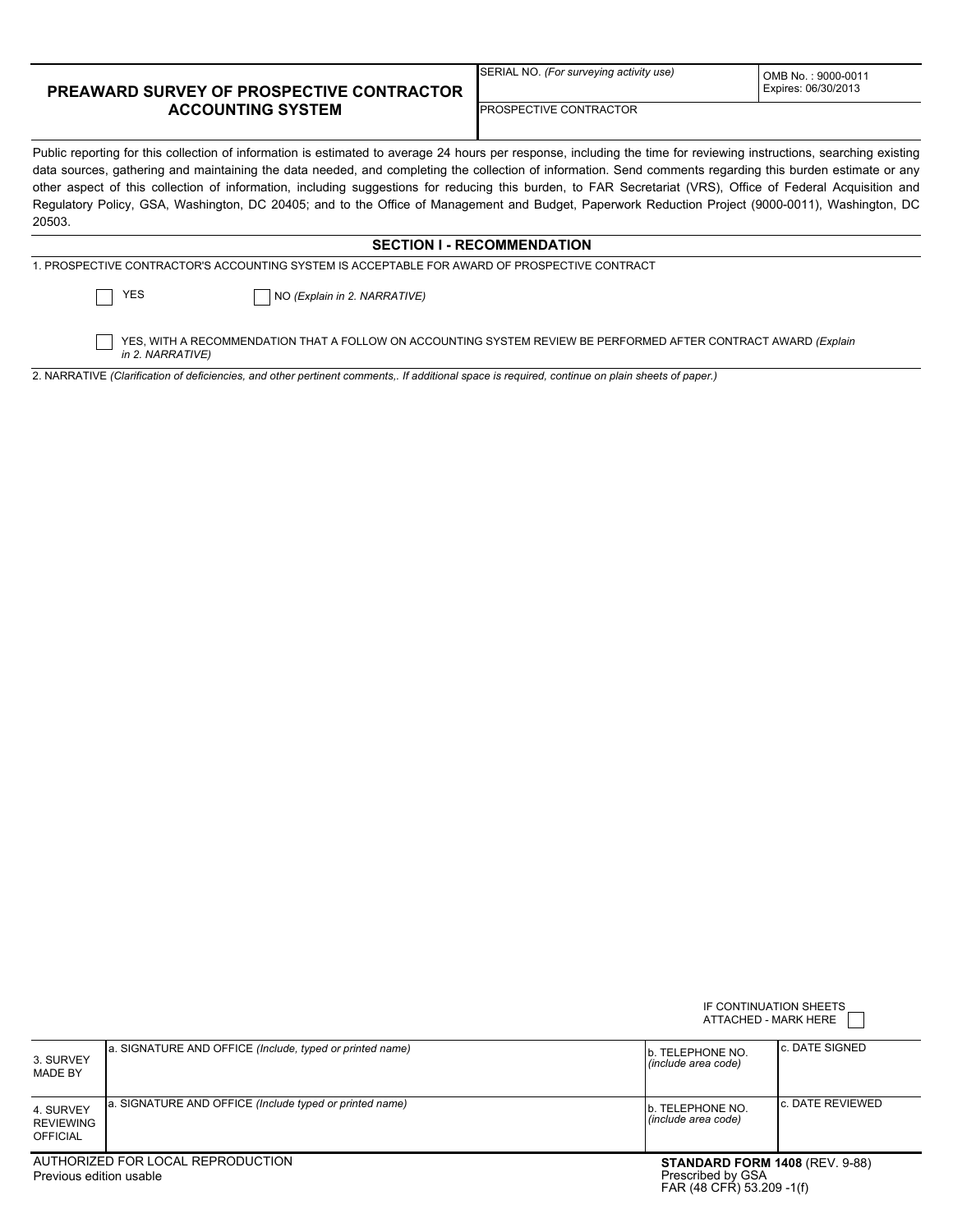## **PREAWARD SURVEY OF PROSPECTIVE CONTRACTOR ACCOUNTING SYSTEM**

SERIAL NO. *(For surveying activity use)*

OMB No. : 9000-0011 Expires: 06/30/2013

## PROSPECTIVE CONTRACTOR

Public reporting for this collection of information is estimated to average 24 hours per response, including the time for reviewing instructions, searching existing data sources, gathering and maintaining the data needed, and completing the collection of information. Send comments regarding this burden estimate or any other aspect of this collection of information, including suggestions for reducing this burden, to FAR Secretariat (VRS), Office of Federal Acquisition and Regulatory Policy, GSA, Washington, DC 20405; and to the Office of Management and Budget, Paperwork Reduction Project (9000-0011), Washington, DC 20503.

## **SECTION I - RECOMMENDATION**

NO *(Explain in 2. NARRATIVE)*

YES

YES, WITH A RECOMMENDATION THAT A FOLLOW ON ACCOUNTING SYSTEM REVIEW BE PERFORMED AFTER CONTRACT AWARD *(Explain in 2. NARRATIVE)*

2. NARRATIVE *(Clarification of deficiencies, and other pertinent comments,. If additional space is required, continue on plain sheets of paper.)*

|                                                              |                                                           | IF CONTINUATION SHEETS<br>ATTACHED - MARK HERE                                          |                   |  |
|--------------------------------------------------------------|-----------------------------------------------------------|-----------------------------------------------------------------------------------------|-------------------|--|
| 3. SURVEY<br>MADE BY                                         | [a. SIGNATURE AND OFFICE (Include, typed or printed name) | lb. TELEPHONE NO.<br>l (include area code)                                              | lc. DATE SIGNED   |  |
| 4. SURVEY<br><b>REVIEWING</b><br>OFFICIAL                    | a. SIGNATURE AND OFFICE (Include typed or printed name)   | lb. TELEPHONE NO.<br>l (include area code)                                              | lc. DATE REVIEWED |  |
| AUTHORIZED FOR LOCAL REPRODUCTION<br>Previous edition usable |                                                           | <b>STANDARD FORM 1408 (REV. 9-88)</b><br>Prescribed by GSA<br>FAR (48 CFR) 53.209 -1(f) |                   |  |